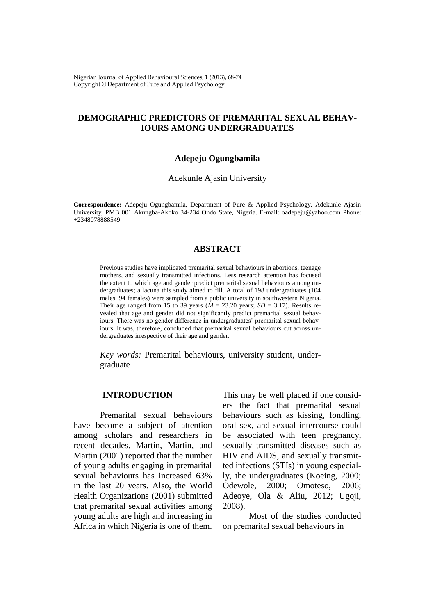# **DEMOGRAPHIC PREDICTORS OF PREMARITAL SEXUAL BEHAV-IOURS AMONG UNDERGRADUATES**

\_\_\_\_\_\_\_\_\_\_\_\_\_\_\_\_\_\_\_\_\_\_\_\_\_\_\_\_\_\_\_\_\_\_\_\_\_\_\_\_\_\_\_\_\_\_\_\_\_\_\_\_\_\_\_\_\_\_\_\_\_\_\_\_\_\_\_\_\_\_\_\_\_\_\_\_\_\_\_\_\_\_\_\_\_\_\_\_\_\_\_\_\_\_\_\_\_\_

### **Adepeju Ogungbamila**

Adekunle Ajasin University

**Correspondence:** Adepeju Ogungbamila, Department of Pure & Applied Psychology, Adekunle Ajasin University, PMB 001 Akungba-Akoko 34-234 Ondo State, Nigeria. E-mail: oadepeju@yahoo.com Phone: +2348078888549.

## **ABSTRACT**

Previous studies have implicated premarital sexual behaviours in abortions, teenage mothers, and sexually transmitted infections. Less research attention has focused the extent to which age and gender predict premarital sexual behaviours among undergraduates; a lacuna this study aimed to fill. A total of 198 undergraduates (104 males; 94 females) were sampled from a public university in southwestern Nigeria. Their age ranged from 15 to 39 years ( $M = 23.20$  years; *SD* = 3.17). Results revealed that age and gender did not significantly predict premarital sexual behaviours. There was no gender difference in undergraduates' premarital sexual behaviours. It was, therefore, concluded that premarital sexual behaviours cut across undergraduates irrespective of their age and gender.

*Key words:* Premarital behaviours, university student, undergraduate

### **INTRODUCTION**

Premarital sexual behaviours have become a subject of attention among scholars and researchers in recent decades. Martin, Martin, and Martin (2001) reported that the number of young adults engaging in premarital sexual behaviours has increased 63% in the last 20 years. Also, the World Health Organizations (2001) submitted that premarital sexual activities among young adults are high and increasing in Africa in which Nigeria is one of them.

This may be well placed if one considers the fact that premarital sexual behaviours such as kissing, fondling, oral sex, and sexual intercourse could be associated with teen pregnancy, sexually transmitted diseases such as HIV and AIDS, and sexually transmitted infections (STIs) in young especially, the undergraduates (Koeing, 2000; Odewole, 2000; Omoteso, 2006; Adeoye, Ola & Aliu, 2012; Ugoji, 2008).

Most of the studies conducted on premarital sexual behaviours in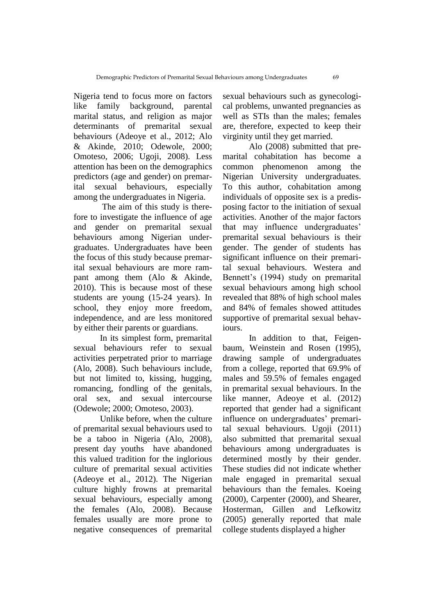Nigeria tend to focus more on factors like family background, parental marital status, and religion as major determinants of premarital sexual behaviours (Adeoye et al., 2012; Alo & Akinde, 2010; Odewole, 2000; Omoteso, 2006; Ugoji, 2008). Less attention has been on the demographics predictors (age and gender) on premarital sexual behaviours, especially among the undergraduates in Nigeria.

The aim of this study is therefore to investigate the influence of age and gender on premarital sexual behaviours among Nigerian undergraduates. Undergraduates have been the focus of this study because premarital sexual behaviours are more rampant among them (Alo & Akinde, 2010). This is because most of these students are young (15-24 years). In school, they enjoy more freedom, independence, and are less monitored by either their parents or guardians.

In its simplest form, premarital sexual behaviours refer to sexual activities perpetrated prior to marriage (Alo, 2008). Such behaviours include, but not limited to, kissing, hugging, romancing, fondling of the genitals, oral sex, and sexual intercourse (Odewole; 2000; Omoteso, 2003).

Unlike before, when the culture of premarital sexual behaviours used to be a taboo in Nigeria (Alo, 2008), present day youths have abandoned this valued tradition for the inglorious culture of premarital sexual activities (Adeoye et al., 2012). The Nigerian culture highly frowns at premarital sexual behaviours, especially among the females (Alo, 2008). Because females usually are more prone to negative consequences of premarital

sexual behaviours such as gynecological problems, unwanted pregnancies as well as STIs than the males; females are, therefore, expected to keep their virginity until they get married.

Alo (2008) submitted that premarital cohabitation has become a common phenomenon among the Nigerian University undergraduates. To this author, cohabitation among individuals of opposite sex is a predisposing factor to the initiation of sexual activities. Another of the major factors that may influence undergraduates' premarital sexual behaviours is their gender. The gender of students has significant influence on their premarital sexual behaviours. Westera and Bennett's (1994) study on premarital sexual behaviours among high school revealed that 88% of high school males and 84% of females showed attitudes supportive of premarital sexual behaviours.

In addition to that, Feigenbaum, Weinstein and Rosen (1995), drawing sample of undergraduates from a college, reported that 69.9% of males and 59.5% of females engaged in premarital sexual behaviours. In the like manner, Adeoye et al. (2012) reported that gender had a significant influence on undergraduates' premarital sexual behaviours. Ugoji (2011) also submitted that premarital sexual behaviours among undergraduates is determined mostly by their gender. These studies did not indicate whether male engaged in premarital sexual behaviours than the females. Koeing (2000), Carpenter (2000), and Shearer, Hosterman, Gillen and Lefkowitz (2005) generally reported that male college students displayed a higher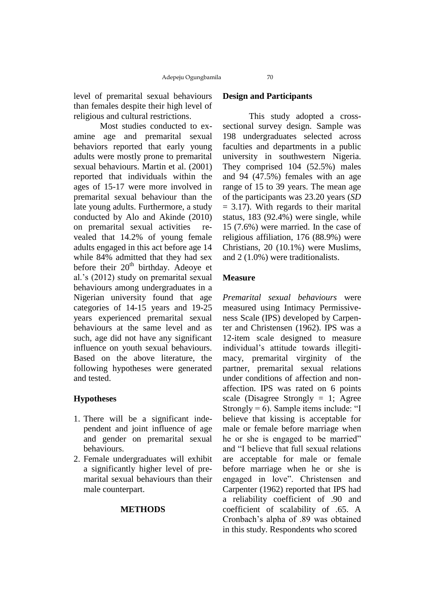level of premarital sexual behaviours than females despite their high level of religious and cultural restrictions.

Most studies conducted to examine age and premarital sexual behaviors reported that early young adults were mostly prone to premarital sexual behaviours. Martin et al. (2001). reported that individuals within the ages of 15-17 were more involved in premarital sexual behaviour than the late young adults. Furthermore, a study conducted by Alo and Akinde (2010) on premarital sexual activities revealed that 14.2% of young female adults engaged in this act before age 14 while 84% admitted that they had sex before their  $20<sup>th</sup>$  birthday. Adeoye et al.'s (2012) study on premarital sexual behaviours among undergraduates in a Nigerian university found that age categories of 14-15 years and 19-25 years experienced premarital sexual behaviours at the same level and as such, age did not have any significant influence on youth sexual behaviours. Based on the above literature, the following hypotheses were generated and tested.

# **Hypotheses**

- 1. There will be a significant independent and joint influence of age and gender on premarital sexual behaviours.
- 2. Female undergraduates will exhibit a significantly higher level of premarital sexual behaviours than their male counterpart.

#### **METHODS**

### **Design and Participants**

This study adopted a crosssectional survey design. Sample was 198 undergraduates selected across faculties and departments in a public university in southwestern Nigeria. They comprised 104 (52.5%) males and 94 (47.5%) females with an age range of 15 to 39 years. The mean age of the participants was 23.20 years (*SD*  $= 3.17$ ). With regards to their marital status, 183 (92.4%) were single, while 15 (7.6%) were married. In the case of religious affiliation, 176 (88.9%) were Christians, 20 (10.1%) were Muslims, and 2 (1.0%) were traditionalists.

# **Measure**

*Premarital sexual behaviours* were measured using Intimacy Permissiveness Scale (IPS) developed by Carpenter and Christensen (1962). IPS was a 12-item scale designed to measure individual's attitude towards illegitimacy, premarital virginity of the partner, premarital sexual relations under conditions of affection and nonaffection. IPS was rated on 6 points scale (Disagree Strongly  $= 1$ ; Agree Strongly  $= 6$ ). Sample items include: "I believe that kissing is acceptable for male or female before marriage when he or she is engaged to be married" and "I believe that full sexual relations are acceptable for male or female before marriage when he or she is engaged in love". Christensen and Carpenter (1962) reported that IPS had a reliability coefficient of .90 and coefficient of scalability of .65. A Cronbach's alpha of .89 was obtained in this study. Respondents who scored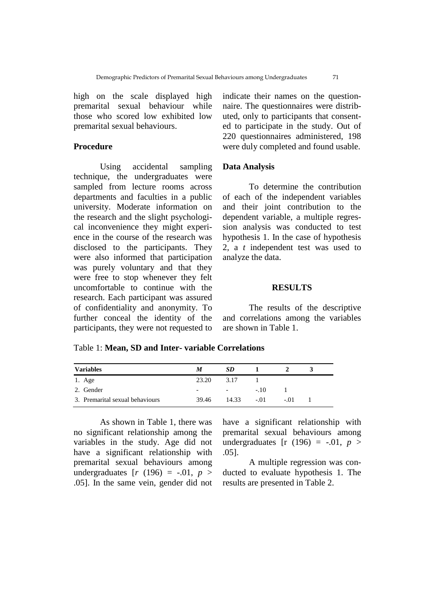high on the scale displayed high premarital sexual behaviour while those who scored low exhibited low premarital sexual behaviours.

## **Procedure**

Using accidental sampling technique, the undergraduates were sampled from lecture rooms across departments and faculties in a public university. Moderate information on the research and the slight psychological inconvenience they might experience in the course of the research was disclosed to the participants. They were also informed that participation was purely voluntary and that they were free to stop whenever they felt uncomfortable to continue with the research. Each participant was assured of confidentiality and anonymity. To further conceal the identity of the participants, they were not requested to

indicate their names on the questionnaire. The questionnaires were distributed, only to participants that consented to participate in the study. Out of 220 questionnaires administered, 198 were duly completed and found usable.

## **Data Analysis**

To determine the contribution of each of the independent variables and their joint contribution to the dependent variable, a multiple regression analysis was conducted to test hypothesis 1. In the case of hypothesis 2, a *t* independent test was used to analyze the data.

#### **RESULTS**

The results of the descriptive and correlations among the variables are shown in Table 1.

### Table 1: **Mean, SD and Inter- variable Correlations**

| <b>Variables</b>                | M                        | SD.        |            |        |  |
|---------------------------------|--------------------------|------------|------------|--------|--|
| 1. Age                          | 23.20                    | 3.17       |            |        |  |
| 2. Gender                       | $\overline{\phantom{0}}$ | $\sim$ $-$ | $-10^{-1}$ |        |  |
| 3. Premarital sexual behaviours | 39.46                    | 14.33      | $-.01$     | $-.01$ |  |

As shown in Table 1, there was no significant relationship among the variables in the study. Age did not have a significant relationship with premarital sexual behaviours among undergraduates  $[r (196) = -.01, p >$ .05]. In the same vein, gender did not have a significant relationship with premarital sexual behaviours among undergraduates  $[r (196) = -.01, p >$ .05].

A multiple regression was conducted to evaluate hypothesis 1. The results are presented in Table 2.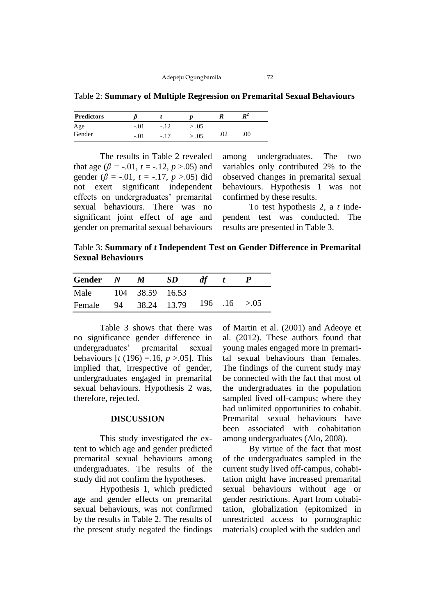Table 2: **Summary of Multiple Regression on Premarital Sexual Behaviours**

| <b>Predictors</b> |        |      |     |     | $R^2$   |
|-------------------|--------|------|-----|-----|---------|
| Age               | $-.01$ | - 12 | .05 |     |         |
| Gender            | $-.01$ | - 17 | .05 | .02 | $.00\,$ |

The results in Table 2 revealed that age ( $\beta$  = -.01, *t* = -.12, *p* >.05) and gender ( $\beta$  = -.01,  $t$  = -.17,  $p > .05$ ) did not exert significant independent effects on undergraduates' premarital sexual behaviours. There was no significant joint effect of age and gender on premarital sexual behaviours

among undergraduates. The two variables only contributed 2% to the observed changes in premarital sexual behaviours. Hypothesis 1 was not confirmed by these results.

To test hypothesis 2, a *t* independent test was conducted. The results are presented in Table 3.

Table 3: **Summary of** *t* **Independent Test on Gender Difference in Premarital Sexual Behaviours** 

| Gender $N$ $M$       |  | SD.                          | df |  |
|----------------------|--|------------------------------|----|--|
| Male 104 38.59 16.53 |  |                              |    |  |
| Female               |  | 94 38.24 13.79 196 .16 > .05 |    |  |

Table 3 shows that there was no significance gender difference in undergraduates' premarital sexual behaviours [*t* (196) =.16, *p* >.05]. This implied that, irrespective of gender, undergraduates engaged in premarital sexual behaviours. Hypothesis 2 was, therefore, rejected.

### **DISCUSSION**

This study investigated the extent to which age and gender predicted premarital sexual behaviours among undergraduates. The results of the study did not confirm the hypotheses.

Hypothesis 1, which predicted age and gender effects on premarital sexual behaviours, was not confirmed by the results in Table 2. The results of the present study negated the findings

of Martin et al. (2001) and Adeoye et al. (2012). These authors found that young males engaged more in premarital sexual behaviours than females. The findings of the current study may be connected with the fact that most of the undergraduates in the population sampled lived off-campus; where they had unlimited opportunities to cohabit. Premarital sexual behaviours have been associated with cohabitation among undergraduates (Alo, 2008).

By virtue of the fact that most of the undergraduates sampled in the current study lived off-campus, cohabitation might have increased premarital sexual behaviours without age or gender restrictions. Apart from cohabitation, globalization (epitomized in unrestricted access to pornographic materials) coupled with the sudden and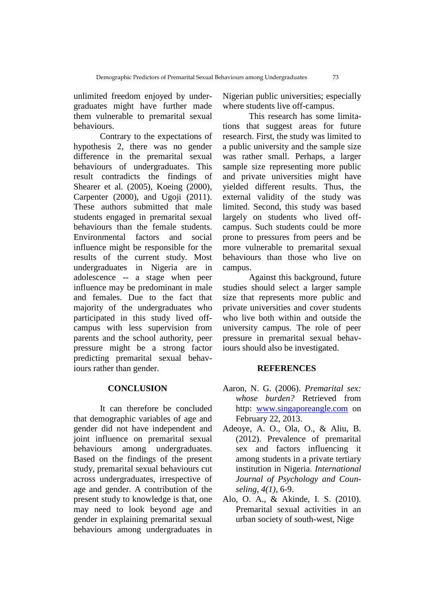unlimited freedom enjoyed by undergraduates might have further made them vulnerable to premarital sexual behaviours.

Contrary to the expectations of hypothesis 2, there was no gender difference in the premarital sexual behaviours of undergraduates. This result contradicts the findings of Shearer et al. (2005), Koeing (2000), Carpenter (2000), and Ugoji (2011). These authors submitted that male students engaged in premarital sexual behaviours than the female students. Environmental factors and social influence might be responsible for the results of the current study. Most undergraduates in Nigeria are in adolescence -- a stage when peer influence may be predominant in male and females. Due to the fact that majority of the undergraduates who participated in this study lived offcampus with less supervision from parents and the school authority, peer pressure might be a strong factor predicting premarital sexual behaviours rather than gender.

## **CONCLUSION**

It can therefore be concluded that demographic variables of age and gender did not have independent and joint influence on premarital sexual behaviours among undergraduates. Based on the findings of the present study, premarital sexual behaviours cut across undergraduates, irrespective of age and gender. A contribution of the present study to knowledge is that, one may need to look beyond age and gender in explaining premarital sexual behaviours among undergraduates in

Nigerian public universities; especially where students live off-campus.

This research has some limitations that suggest areas for future research. First, the study was limited to a public university and the sample size was rather small. Perhaps, a larger sample size representing more public and private universities might have yielded different results. Thus, the external validity of the study was limited. Second, this study was based largely on students who lived offcampus. Such students could be more prone to pressures from peers and be more vulnerable to premarital sexual behaviours than those who live on campus.

Against this background, future studies should select a larger sample size that represents more public and private universities and cover students who live both within and outside the university campus. The role of peer pressure in premarital sexual behaviours should also be investigated.

#### **REFERENCES**

- Aaron, N. G. (2006). *Premarital sex: whose burden?* Retrieved from http: [www.singaporeangle.com](http://www.singaporeangle.com/) on February 22, 2013.
- Adeoye, A. O., Ola, O., & Aliu, B. (2012). Prevalence of premarital sex and factors influencing it among students in a private tertiary institution in Nigeria. *International Journal of Psychology and Counseling, 4(1),* 6-9.
- Alo, O. A., & Akinde, I. S. (2010). Premarital sexual activities in an urban society of south-west, Nige